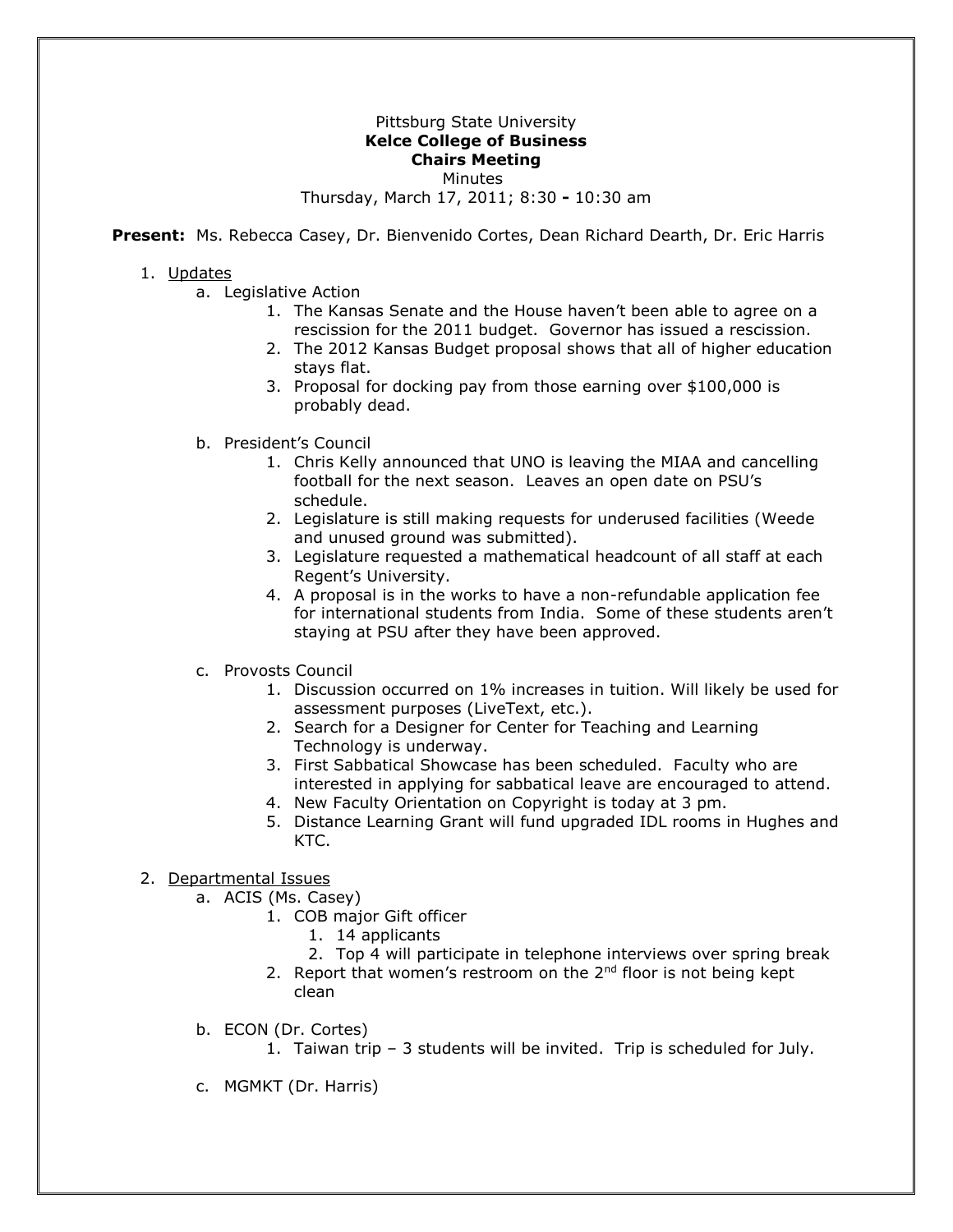## Pittsburg State University **Kelce College of Business Chairs Meeting Minutes**

Thursday, March 17, 2011; 8:30 **-** 10:30 am

**Present:** Ms. Rebecca Casey, Dr. Bienvenido Cortes, Dean Richard Dearth, Dr. Eric Harris

## 1. Updates

- a. Legislative Action
	- 1. The Kansas Senate and the House haven't been able to agree on a rescission for the 2011 budget. Governor has issued a rescission.
	- 2. The 2012 Kansas Budget proposal shows that all of higher education stays flat.
	- 3. Proposal for docking pay from those earning over \$100,000 is probably dead.
- b. President's Council
	- 1. Chris Kelly announced that UNO is leaving the MIAA and cancelling football for the next season. Leaves an open date on PSU's schedule.
	- 2. Legislature is still making requests for underused facilities (Weede and unused ground was submitted).
	- 3. Legislature requested a mathematical headcount of all staff at each Regent's University.
	- 4. A proposal is in the works to have a non-refundable application fee for international students from India. Some of these students aren't staying at PSU after they have been approved.
- c. Provosts Council
	- 1. Discussion occurred on 1% increases in tuition. Will likely be used for assessment purposes (LiveText, etc.).
	- 2. Search for a Designer for Center for Teaching and Learning Technology is underway.
	- 3. First Sabbatical Showcase has been scheduled. Faculty who are interested in applying for sabbatical leave are encouraged to attend.
	- 4. New Faculty Orientation on Copyright is today at 3 pm.
	- 5. Distance Learning Grant will fund upgraded IDL rooms in Hughes and KTC.

## 2. Departmental Issues

- a. ACIS (Ms. Casey)
	- 1. COB major Gift officer
		- 1. 14 applicants
		- 2. Top 4 will participate in telephone interviews over spring break
	- 2. Report that women's restroom on the  $2<sup>nd</sup>$  floor is not being kept clean
- b. ECON (Dr. Cortes)
	- 1. Taiwan trip 3 students will be invited. Trip is scheduled for July.
- c. MGMKT (Dr. Harris)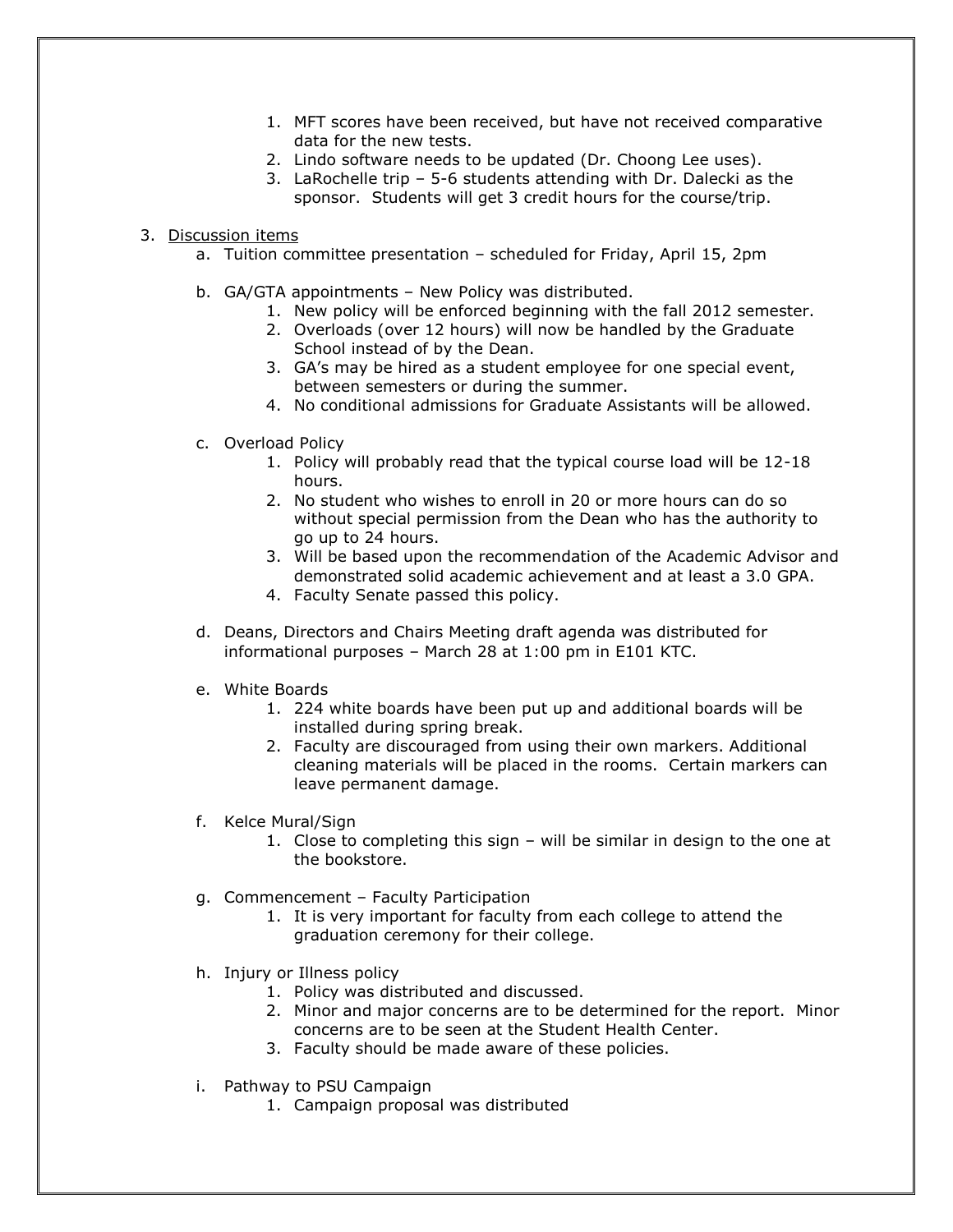- 1. MFT scores have been received, but have not received comparative data for the new tests.
- 2. Lindo software needs to be updated (Dr. Choong Lee uses).
- 3. LaRochelle trip 5-6 students attending with Dr. Dalecki as the sponsor. Students will get 3 credit hours for the course/trip.
- 3. Discussion items
	- a. Tuition committee presentation scheduled for Friday, April 15, 2pm
	- b. GA/GTA appointments New Policy was distributed.
		- 1. New policy will be enforced beginning with the fall 2012 semester.
		- 2. Overloads (over 12 hours) will now be handled by the Graduate School instead of by the Dean.
		- 3. GA's may be hired as a student employee for one special event, between semesters or during the summer.
		- 4. No conditional admissions for Graduate Assistants will be allowed.
	- c. Overload Policy
		- 1. Policy will probably read that the typical course load will be 12-18 hours.
		- 2. No student who wishes to enroll in 20 or more hours can do so without special permission from the Dean who has the authority to go up to 24 hours.
		- 3. Will be based upon the recommendation of the Academic Advisor and demonstrated solid academic achievement and at least a 3.0 GPA.
		- 4. Faculty Senate passed this policy.
	- d. Deans, Directors and Chairs Meeting draft agenda was distributed for informational purposes – March 28 at 1:00 pm in E101 KTC.
	- e. White Boards
		- 1. 224 white boards have been put up and additional boards will be installed during spring break.
		- 2. Faculty are discouraged from using their own markers. Additional cleaning materials will be placed in the rooms. Certain markers can leave permanent damage.
	- f. Kelce Mural/Sign
		- 1. Close to completing this sign will be similar in design to the one at the bookstore.
	- g. Commencement Faculty Participation
		- 1. It is very important for faculty from each college to attend the graduation ceremony for their college.
	- h. Injury or Illness policy
		- 1. Policy was distributed and discussed.
		- 2. Minor and major concerns are to be determined for the report. Minor concerns are to be seen at the Student Health Center.
		- 3. Faculty should be made aware of these policies.
	- i. Pathway to PSU Campaign
		- 1. Campaign proposal was distributed